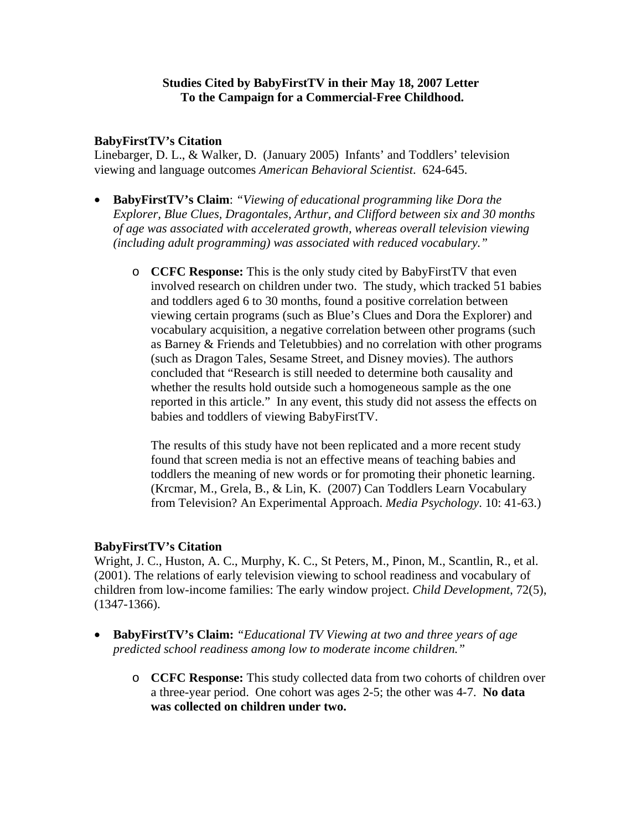## **Studies Cited by BabyFirstTV in their May 18, 2007 Letter To the Campaign for a Commercial-Free Childhood.**

#### **BabyFirstTV's Citation**

Linebarger, D. L., & Walker, D. (January 2005) Infants' and Toddlers' television viewing and language outcomes *American Behavioral Scientist*. 624-645.

- **BabyFirstTV's Claim**: *"Viewing of educational programming like Dora the Explorer, Blue Clues, Dragontales, Arthur, and Clifford between six and 30 months of age was associated with accelerated growth, whereas overall television viewing (including adult programming) was associated with reduced vocabulary."* 
	- o **CCFC Response:** This is the only study cited by BabyFirstTV that even involved research on children under two. The study, which tracked 51 babies and toddlers aged 6 to 30 months, found a positive correlation between viewing certain programs (such as Blue's Clues and Dora the Explorer) and vocabulary acquisition, a negative correlation between other programs (such as Barney & Friends and Teletubbies) and no correlation with other programs (such as Dragon Tales, Sesame Street, and Disney movies). The authors concluded that "Research is still needed to determine both causality and whether the results hold outside such a homogeneous sample as the one reported in this article." In any event, this study did not assess the effects on babies and toddlers of viewing BabyFirstTV.

The results of this study have not been replicated and a more recent study found that screen media is not an effective means of teaching babies and toddlers the meaning of new words or for promoting their phonetic learning. (Krcmar, M., Grela, B., & Lin, K. (2007) Can Toddlers Learn Vocabulary from Television? An Experimental Approach. *Media Psychology*. 10: 41-63.)

### **BabyFirstTV's Citation**

Wright, J. C., Huston, A. C., Murphy, K. C., St Peters, M., Pinon, M., Scantlin, R., et al. (2001). The relations of early television viewing to school readiness and vocabulary of children from low-income families: The early window project. *Child Development*, 72(5), (1347-1366).

- **BabyFirstTV's Claim:** *"Educational TV Viewing at two and three years of age predicted school readiness among low to moderate income children."* 
	- o **CCFC Response:** This study collected data from two cohorts of children over a three-year period. One cohort was ages 2-5; the other was 4-7. **No data was collected on children under two.**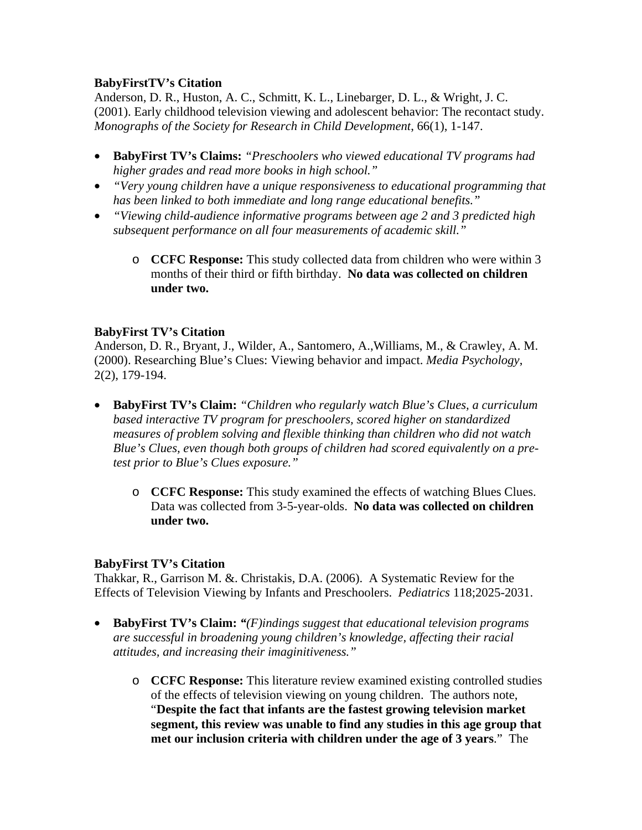# **BabyFirstTV's Citation**

Anderson, D. R., Huston, A. C., Schmitt, K. L., Linebarger, D. L., & Wright, J. C. (2001). Early childhood television viewing and adolescent behavior: The recontact study. *Monographs of the Society for Research in Child Development*, 66(1), 1-147.

- **BabyFirst TV's Claims:** *"Preschoolers who viewed educational TV programs had higher grades and read more books in high school."*
- *"Very young children have a unique responsiveness to educational programming that has been linked to both immediate and long range educational benefits."*
- *"Viewing child-audience informative programs between age 2 and 3 predicted high subsequent performance on all four measurements of academic skill."* 
	- o **CCFC Response:** This study collected data from children who were within 3 months of their third or fifth birthday. **No data was collected on children under two.**

## **BabyFirst TV's Citation**

Anderson, D. R., Bryant, J., Wilder, A., Santomero, A.,Williams, M., & Crawley, A. M. (2000). Researching Blue's Clues: Viewing behavior and impact. *Media Psychology*, 2(2), 179-194.

- **BabyFirst TV's Claim:** *"Children who regularly watch Blue's Clues, a curriculum based interactive TV program for preschoolers, scored higher on standardized measures of problem solving and flexible thinking than children who did not watch Blue's Clues, even though both groups of children had scored equivalently on a pretest prior to Blue's Clues exposure."* 
	- o **CCFC Response:** This study examined the effects of watching Blues Clues. Data was collected from 3-5-year-olds. **No data was collected on children under two.**

### **BabyFirst TV's Citation**

Thakkar, R., Garrison M. &. Christakis, D.A. (2006). A Systematic Review for the Effects of Television Viewing by Infants and Preschoolers. *Pediatrics* 118;2025-2031.

- **BabyFirst TV's Claim:** *"(F)indings suggest that educational television programs are successful in broadening young children's knowledge, affecting their racial attitudes, and increasing their imaginitiveness."* 
	- o **CCFC Response:** This literature review examined existing controlled studies of the effects of television viewing on young children. The authors note, "**Despite the fact that infants are the fastest growing television market segment, this review was unable to find any studies in this age group that met our inclusion criteria with children under the age of 3 years**." The